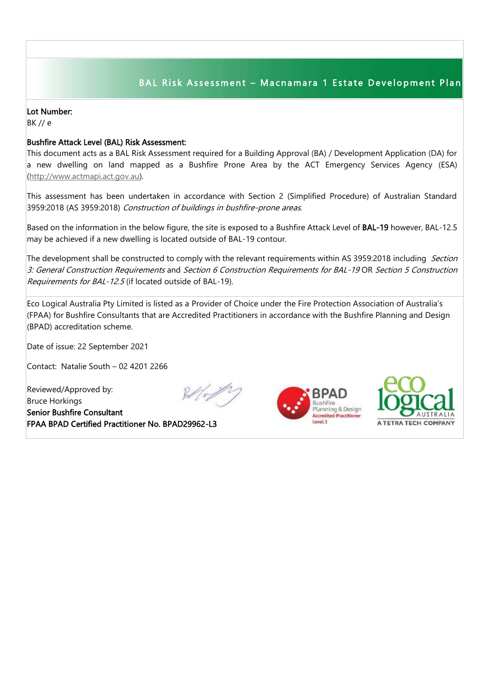## BAL Risk Assessment - Macnamara 1 Estate Development Plan

## Lot Number:

BK // e

## Bushfire Attack Level (BAL) Risk Assessment:

This document acts as a BAL Risk Assessment required for a Building Approval (BA) / Development Application (DA) for a new dwelling on land mapped as a Bushfire Prone Area by the ACT Emergency Services Agency (ESA) [\(http://www.actmapi.act.gov.au\)](http://www.actmapi.act.gov.au/).

This assessment has been undertaken in accordance with Section 2 (Simplified Procedure) of Australian Standard 3959:2018 (AS 3959:2018) Construction of buildings in bushfire-prone areas.

Based on the information in the below figure, the site is exposed to a Bushfire Attack Level of BAL-19 however, BAL-12.5 may be achieved if a new dwelling is located outside of BAL-19 contour.

The development shall be constructed to comply with the relevant requirements within AS 3959:2018 including Section 3: General Construction Requirements and Section 6 Construction Requirements for BAL-19 OR Section 5 Construction Requirements for BAL-12.5 (if located outside of BAL-19).

Eco Logical Australia Pty Limited is listed as a Provider of Choice under the Fire Protection Association of Australia's (FPAA) for Bushfire Consultants that are Accredited Practitioners in accordance with the Bushfire Planning and Design (BPAD) accreditation scheme.

Date of issue: 22 September 2021

Contact: Natalie South – 02 4201 2266

Reviewed/Approved by: Bruce Horkings Senior Bushfire Consultant FPAA BPAD Certified Practitioner No. BPAD29962-L3





I